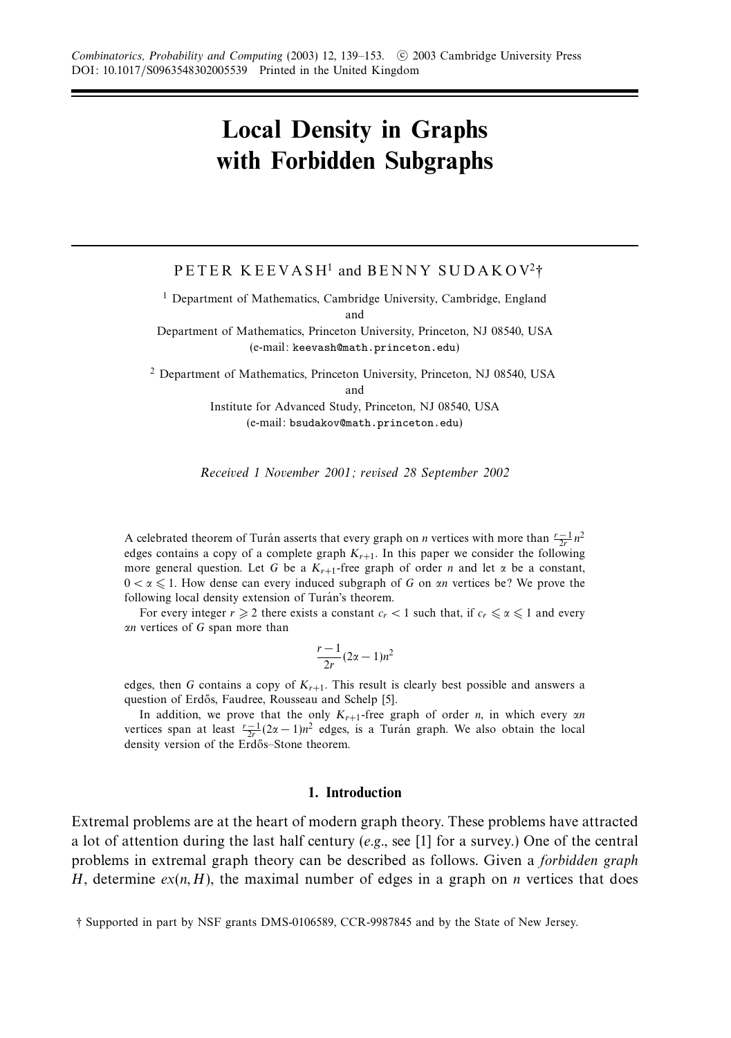# **Local Density in Graphs with Forbidden Subgraphs**

PETER KEEVASH<sup>1</sup> and BENNY SUDAKOV<sup>2</sup>†

<sup>1</sup> Department of Mathematics, Cambridge University, Cambridge, England and

Department of Mathematics, Princeton University, Princeton, NJ 08540, USA (e-mail: keevash@math.princeton.edu)

<sup>2</sup> Department of Mathematics, Princeton University, Princeton, NJ 08540, USA and

> Institute for Advanced Study, Princeton, NJ 08540, USA (e-mail: bsudakov@math.princeton.edu)

Received 1 November 2001; revised 28 September 2002

A celebrated theorem of Turan asserts that every graph on *n* vertices with more than  $\frac{r-1}{2r}n^2$ edges contains a copy of a complete graph  $K_{r+1}$ . In this paper we consider the following more general question. Let *G* be a  $K_{r+1}$ -free graph of order *n* and let  $\alpha$  be a constant,  $0 < \alpha \leq 1$ . How dense can every induced subgraph of *G* on *αn* vertices be? We prove the following local density extension of Turán's theorem.

For every integer  $r \ge 2$  there exists a constant  $c_r < 1$  such that, if  $c_r \le \alpha \le 1$  and every *αn* vertices of *G* span more than

$$
\frac{r-1}{2r}(2\alpha-1)n^2
$$

edges, then *G* contains a copy of  $K_{r+1}$ . This result is clearly best possible and answers a question of Erdős, Faudree, Rousseau and Schelp [5].

In addition, we prove that the only *Kr*+1-free graph of order *n*, in which every *αn* vertices span at least  $\frac{r-1}{2r}(2\alpha-1)n^2$  edges, is a Turan graph. We also obtain the local density version of the Erdős–Stone theorem.

### **1. Introduction**

Extremal problems are at the heart of modern graph theory. These problems have attracted a lot of attention during the last half century (e.g., see  $[1]$  for a survey.) One of the central problems in extremal graph theory can be described as follows. Given a forbidden graph *H*, determine  $ex(n, H)$ , the maximal number of edges in a graph on *n* vertices that does

<sup>†</sup> Supported in part by NSF grants DMS-0106589, CCR-9987845 and by the State of New Jersey.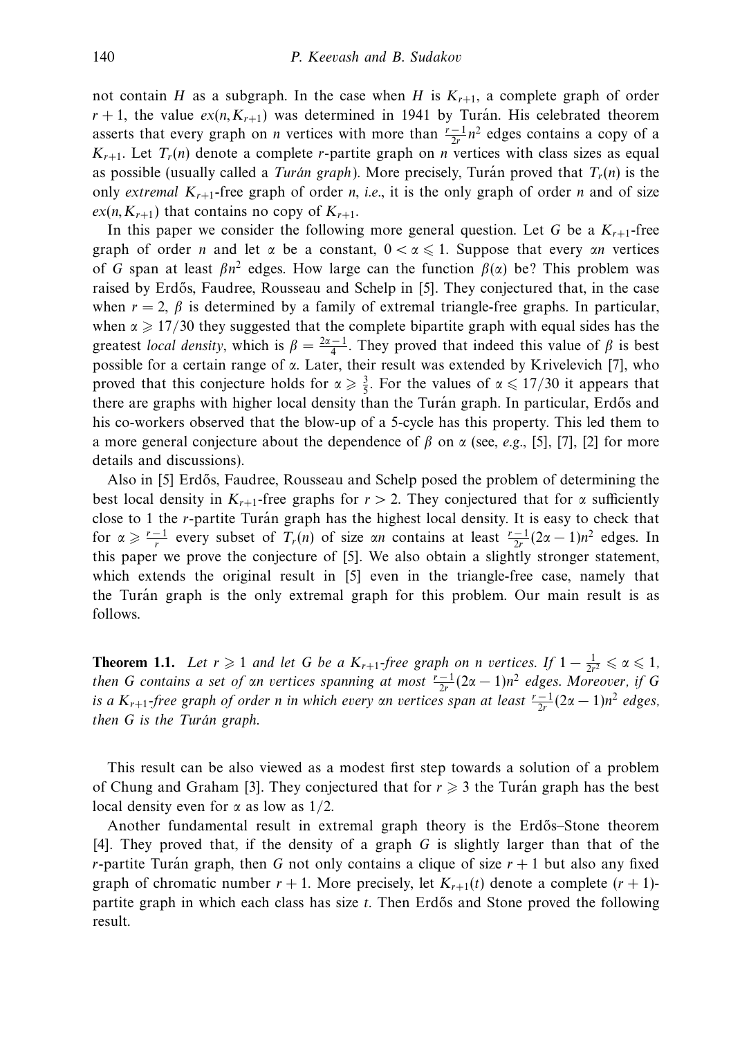not contain *H* as a subgraph. In the case when *H* is  $K_{r+1}$ , a complete graph of order  $r + 1$ , the value  $ex(n, K_{r+1})$  was determined in 1941 by Turan. His celebrated theorem asserts that every graph on *n* vertices with more than  $\frac{r-1}{2r}n^2$  edges contains a copy of a  $K_{r+1}$ . Let  $T_r(n)$  denote a complete *r*-partite graph on *n* vertices with class sizes as equal as possible (usually called a *Turán graph*). More precisely, Turán proved that  $T_r(n)$  is the only extremal  $K_{r+1}$ -free graph of order *n*, i.e., it is the only graph of order *n* and of size  $ex(n, K_{r+1})$  that contains no copy of  $K_{r+1}$ .

In this paper we consider the following more general question. Let *G* be a  $K_{r+1}$ -free graph of order *n* and let  $\alpha$  be a constant,  $0 < \alpha \le 1$ . Suppose that every  $\alpha n$  vertices of *G* span at least  $\beta n^2$  edges. How large can the function  $\beta(\alpha)$  be? This problem was raised by Erdős, Faudree, Rousseau and Schelp in [5]. They conjectured that, in the case when  $r = 2$ ,  $\beta$  is determined by a family of extremal triangle-free graphs. In particular, when  $\alpha \geq 17/30$  they suggested that the complete bipartite graph with equal sides has the greatest *local density*, which is  $\beta = \frac{2\alpha - 1}{4}$ . They proved that indeed this value of  $\beta$  is best possible for a certain range of *α*. Later, their result was extended by Krivelevich [7], who proved that this conjecture holds for  $\alpha \geq \frac{3}{5}$ . For the values of  $\alpha \leq 17/30$  it appears that there are graphs with higher local density than the Turan graph. In particular, Erdős and his co-workers observed that the blow-up of a 5-cycle has this property. This led them to a more general conjecture about the dependence of *β* on *α* (see, e.g., [5], [7], [2] for more details and discussions).

Also in [5] Erdős, Faudree, Rousseau and Schelp posed the problem of determining the best local density in  $K_{r+1}$ -free graphs for  $r > 2$ . They conjectured that for  $\alpha$  sufficiently close to 1 the *r*-partite Turán graph has the highest local density. It is easy to check that for  $\alpha \ge \frac{r-1}{r}$  every subset of  $T_r(n)$  of size  $\alpha n$  contains at least  $\frac{r-1}{2r}(2\alpha-1)n^2$  edges. In this paper we prove the conjecture of [5]. We also obtain a slightly stronger statement, which extends the original result in [5] even in the triangle-free case, namely that the Turán graph is the only extremal graph for this problem. Our main result is as follows.

**Theorem 1.1.** Let  $r \geq 1$  and let G be a  $K_{r+1}$ -free graph on *n* vertices. If  $1 - \frac{1}{2r^2} \leq \alpha \leq 1$ , then *G* contains a set of  $\alpha n$  vertices spanning at most  $\frac{r-1}{2r}(2\alpha-1)n^2$  edges. Moreover, if *G is a K<sub>r+1</sub>-free graph of order <i>n* in which every αn vertices span at least  $\frac{r-1}{2r}(2α-1)n^2$  edges, then *G* is the Turán graph.

This result can be also viewed as a modest first step towards a solution of a problem of Chung and Graham [3]. They conjectured that for  $r \geq 3$  the Turan graph has the best local density even for *α* as low as 1*/*2.

Another fundamental result in extremal graph theory is the Erdős–Stone theorem [4]. They proved that, if the density of a graph *G* is slightly larger than that of the *r*-partite Turán graph, then G not only contains a clique of size  $r + 1$  but also any fixed graph of chromatic number  $r + 1$ . More precisely, let  $K_{r+1}(t)$  denote a complete  $(r + 1)$ partite graph in which each class has size *t*. Then Erdős and Stone proved the following result.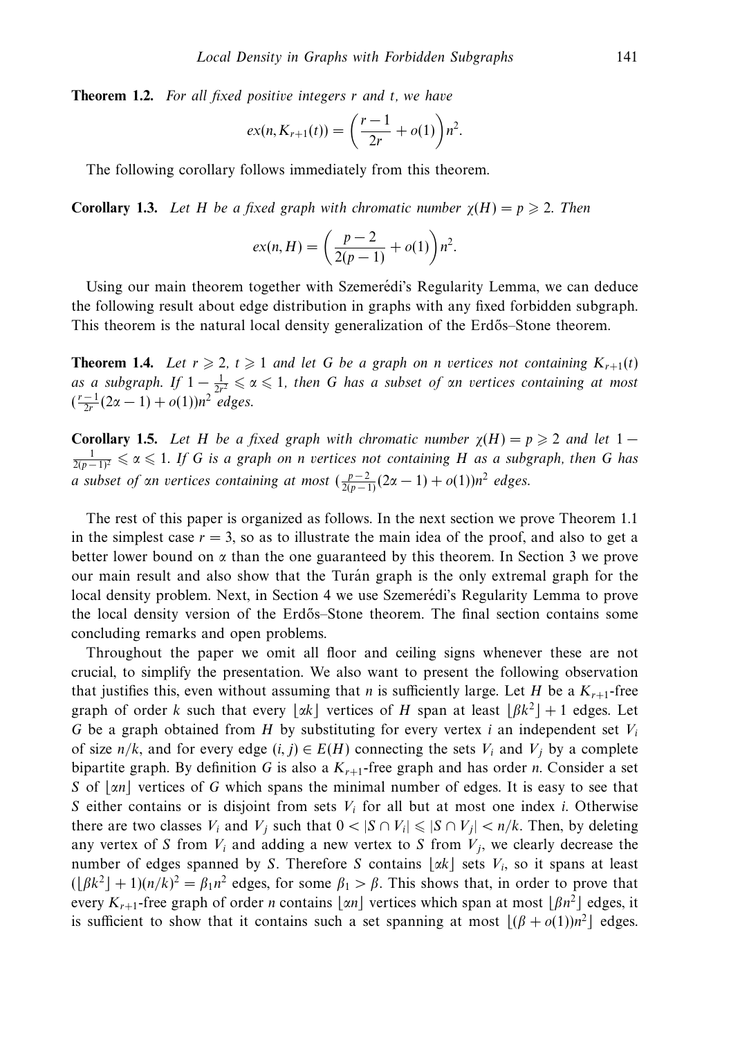**Theorem 1.2.** For all fixed positive integers *r* and *t*, we have

$$
ex(n, K_{r+1}(t)) = \left(\frac{r-1}{2r} + o(1)\right) n^2.
$$

The following corollary follows immediately from this theorem.

**Corollary 1.3.** Let *H* be a fixed graph with chromatic number  $\chi(H) = p \geq 2$ . Then

$$
ex(n, H) = \left(\frac{p-2}{2(p-1)} + o(1)\right) n^2.
$$

Using our main theorem together with Szemerédi's Regularity Lemma, we can deduce the following result about edge distribution in graphs with any fixed forbidden subgraph. This theorem is the natural local density generalization of the Erdős–Stone theorem.

**Theorem 1.4.** Let  $r \ge 2$ ,  $t \ge 1$  and let G be a graph on *n* vertices not containing  $K_{r+1}(t)$ as a subgraph. If  $1 - \frac{1}{2r^2} \leqslant \alpha \leqslant 1$ , then *G* has a subset of *αn* vertices containing at most  $(\frac{r-1}{2r}(2\alpha-1)+o(1))n^2$  edges.

**Corollary 1.5.** Let *H* be a fixed graph with chromatic number  $\chi(H) = p \geq 2$  and let 1 −  $\frac{1}{2(p-1)^2}$  ≤  $\alpha$  ≤ 1. If *G* is a graph on *n* vertices not containing *H* as a subgraph, then *G* has *a* subset of an vertices containing at most  $(\frac{p-2}{2(p-1)}(2\alpha-1)+o(1))n^2$  edges.

The rest of this paper is organized as follows. In the next section we prove Theorem 1.1 in the simplest case  $r = 3$ , so as to illustrate the main idea of the proof, and also to get a better lower bound on  $\alpha$  than the one guaranteed by this theorem. In Section 3 we prove our main result and also show that the Turan graph is the only extremal graph for the local density problem. Next, in Section 4 we use Szemerédi's Regularity Lemma to prove the local density version of the Erdős–Stone theorem. The final section contains some concluding remarks and open problems.

Throughout the paper we omit all floor and ceiling signs whenever these are not crucial, to simplify the presentation. We also want to present the following observation that justifies this, even without assuming that *n* is sufficiently large. Let *H* be a  $K_{r+1}$ -free graph of order *k* such that every  $\lfloor \alpha k \rfloor$  vertices of *H* span at least  $\lfloor \beta k^2 \rfloor + 1$  edges. Let *G* be a graph obtained from *H* by substituting for every vertex *i* an independent set  $V_i$ of size  $n/k$ , and for every edge  $(i, j) \in E(H)$  connecting the sets  $V_i$  and  $V_j$  by a complete bipartite graph. By definition *G* is also a  $K_{r+1}$ -free graph and has order *n*. Consider a set *S* of [*αn*] vertices of *G* which spans the minimal number of edges. It is easy to see that *S* either contains or is disjoint from sets  $V_i$  for all but at most one index *i*. Otherwise there are two classes  $V_i$  and  $V_j$  such that  $0 < |S \cap V_i| \leq |S \cap V_j| < n/k$ . Then, by deleting any vertex of *S* from  $V_i$  and adding a new vertex to *S* from  $V_j$ , we clearly decrease the number of edges spanned by *S*. Therefore *S* contains  $\lfloor \alpha k \rfloor$  sets *V<sub>i</sub>*, so it spans at least  $(\lfloor \beta k^2 \rfloor + 1)(n/k)^2 = \beta_1 n^2$  edges, for some  $\beta_1 > \beta$ . This shows that, in order to prove that every  $K_{r+1}$ -free graph of order *n* contains  $\lfloor \alpha n \rfloor$  vertices which span at most  $\lfloor \beta n^2 \rfloor$  edges, it is sufficient to show that it contains such a set spanning at most  $\lfloor (\beta + o(1))n^2 \rfloor$  edges.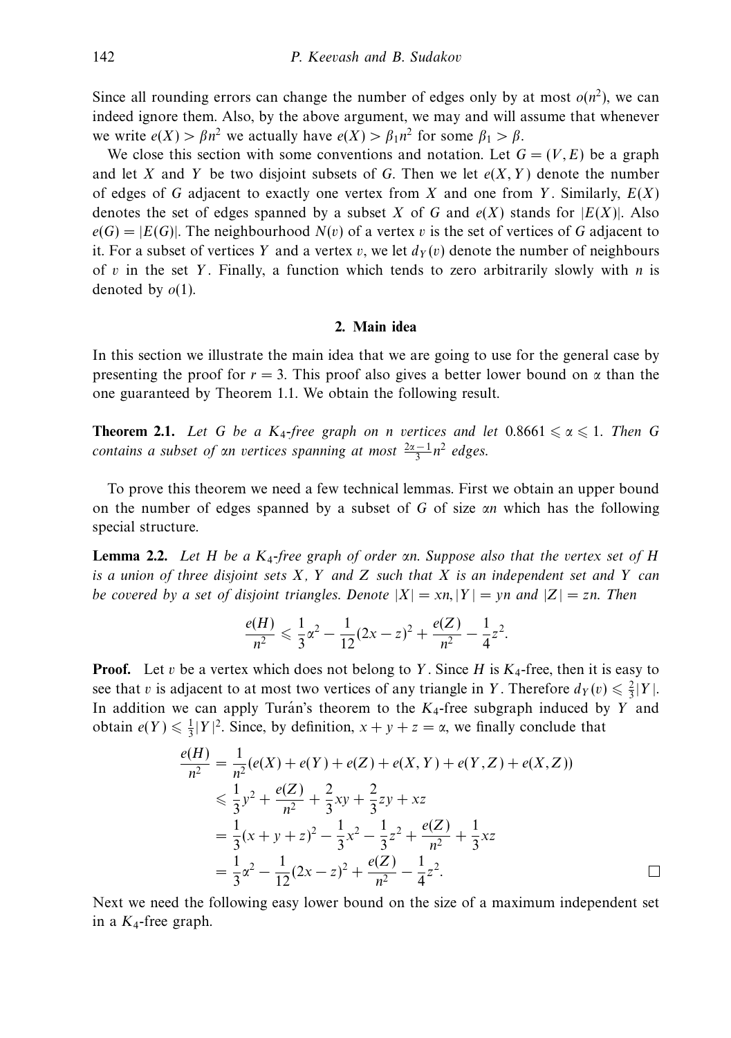Since all rounding errors can change the number of edges only by at most  $o(n^2)$ , we can indeed ignore them. Also, by the above argument, we may and will assume that whenever we write  $e(X) > \beta n^2$  we actually have  $e(X) > \beta_1 n^2$  for some  $\beta_1 > \beta$ .

We close this section with some conventions and notation. Let  $G = (V, E)$  be a graph and let *X* and *Y* be two disjoint subsets of *G*. Then we let  $e(X, Y)$  denote the number of edges of *G* adjacent to exactly one vertex from *X* and one from *Y* . Similarly, *E*(*X*) denotes the set of edges spanned by a subset *X* of *G* and  $e(X)$  stands for  $|E(X)|$ . Also  $e(G) = |E(G)|$ . The neighbourhood  $N(v)$  of a vertex *v* is the set of vertices of *G* adjacent to it. For a subset of vertices *Y* and a vertex *v*, we let  $d<sub>Y</sub>(v)$  denote the number of neighbours of *v* in the set *Y* . Finally, a function which tends to zero arbitrarily slowly with *n* is denoted by *o*(1).

## **2. Main idea**

In this section we illustrate the main idea that we are going to use for the general case by presenting the proof for  $r = 3$ . This proof also gives a better lower bound on  $\alpha$  than the one guaranteed by Theorem 1.1. We obtain the following result.

**Theorem 2.1.** Let G be a  $K_4$ -free graph on *n* vertices and let  $0.8661 \le \alpha \le 1$ . Then G *contains a subset of αn vertices spanning at most*  $\frac{2\alpha-1}{3}n^2$  *edges.* 

To prove this theorem we need a few technical lemmas. First we obtain an upper bound on the number of edges spanned by a subset of *G* of size *αn* which has the following special structure.

**Lemma 2.2.** Let *H* be a *K*4-free graph of order *αn*. Suppose also that the vertex set of *H* is a union of three disjoint sets *X*, *Y* and *Z* such that *X* is an independent set and *Y* can be covered by a set of disjoint triangles. Denote  $|X| = xn, |Y| = yn$  and  $|Z| = zn$ . Then

$$
\frac{e(H)}{n^2} \leqslant \frac{1}{3}\alpha^2 - \frac{1}{12}(2x - z)^2 + \frac{e(Z)}{n^2} - \frac{1}{4}z^2.
$$

**Proof.** Let *v* be a vertex which does not belong to *Y*. Since *H* is  $K_4$ -free, then it is easy to see that *v* is adjacent to at most two vertices of any triangle in *Y*. Therefore  $d_Y(v) \leq \frac{2}{3}|Y|$ . In addition we can apply Turán's theorem to the  $K_4$ -free subgraph induced by *Y* and obtain  $e(Y) \le \frac{1}{3} |Y|^2$ . Since, by definition,  $x + y + z = \alpha$ , we finally conclude that

$$
\frac{e(H)}{n^2} = \frac{1}{n^2}(e(X) + e(Y) + e(Z) + e(X, Y) + e(Y, Z) + e(X, Z))
$$
  
\n
$$
\leq \frac{1}{3}y^2 + \frac{e(Z)}{n^2} + \frac{2}{3}xy + \frac{2}{3}zy + xz
$$
  
\n
$$
= \frac{1}{3}(x + y + z)^2 - \frac{1}{3}x^2 - \frac{1}{3}z^2 + \frac{e(Z)}{n^2} + \frac{1}{3}xz
$$
  
\n
$$
= \frac{1}{3}\alpha^2 - \frac{1}{12}(2x - z)^2 + \frac{e(Z)}{n^2} - \frac{1}{4}z^2.
$$

Next we need the following easy lower bound on the size of a maximum independent set in a  $K_4$ -free graph.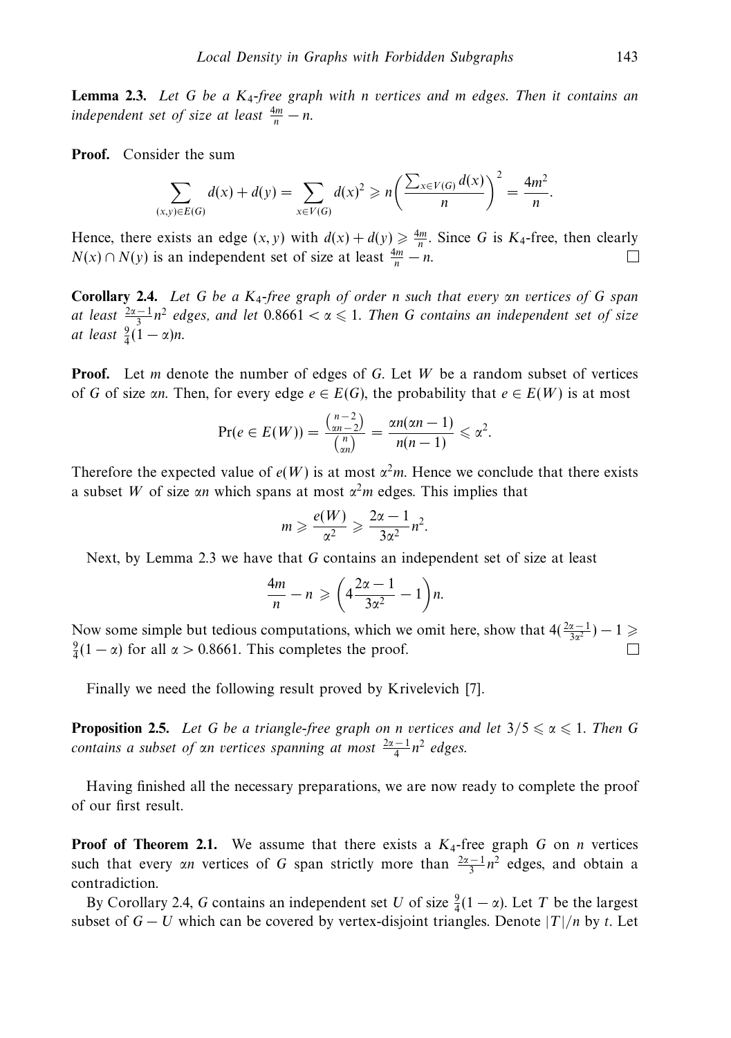**Lemma 2.3.** Let *G* be a *K*4-free graph with *n* vertices and *m* edges. Then it contains an independent set of size at least  $\frac{4m}{n} - n$ .

**Proof.** Consider the sum

$$
\sum_{(x,y)\in E(G)} d(x) + d(y) = \sum_{x\in V(G)} d(x)^2 \geqslant n \left( \frac{\sum_{x\in V(G)} d(x)}{n} \right)^2 = \frac{4m^2}{n}.
$$

Hence, there exists an edge  $(x, y)$  with  $d(x) + d(y) \ge \frac{4m}{n}$ . Since *G* is *K*<sub>4</sub>-free, then clearly  $N(x) \cap N(y)$  is an independent set of size at least  $\frac{4m}{n} - n$ .

**Corollary 2.4.** Let *G* be a *K*4-free graph of order *n* such that every *αn* vertices of *G* span at least  $\frac{2\alpha-1}{3}n^2$  edges, and let 0.8661 < α ≤ 1. Then *G* contains an independent set of size at least  $\frac{9}{4}(1-\alpha)n$ .

**Proof.** Let *m* denote the number of edges of *G*. Let *W* be a random subset of vertices of *G* of size *αn*. Then, for every edge  $e \in E(G)$ , the probability that  $e \in E(W)$  is at most

$$
\Pr(e \in E(W)) = \frac{\binom{n-2}{2n-2}}{\binom{n}{2n}} = \frac{\alpha n(\alpha n - 1)}{n(n-1)} \leq \alpha^2.
$$

Therefore the expected value of  $e(W)$  is at most  $\alpha^2m$ . Hence we conclude that there exists a subset *W* of size  $\alpha n$  which spans at most  $\alpha^2 m$  edges. This implies that

$$
m \geqslant \frac{e(W)}{\alpha^2} \geqslant \frac{2\alpha - 1}{3\alpha^2} n^2.
$$

Next, by Lemma 2.3 we have that *G* contains an independent set of size at least

$$
\frac{4m}{n} - n \geqslant \left(4\frac{2\alpha - 1}{3\alpha^2} - 1\right)n.
$$

Now some simple but tedious computations, which we omit here, show that  $4(\frac{2\alpha-1}{3\alpha^2})-1 \geq$  $\frac{9}{4}(1-\alpha)$  for all  $\alpha > 0.8661$ . This completes the proof.

Finally we need the following result proved by Krivelevich [7].

**Proposition 2.5.** Let *G* be a triangle-free graph on *n* vertices and let  $3/5 \le \alpha \le 1$ . Then *G contains a subset of αn vertices spanning at most*  $\frac{2\alpha - 1}{4}$ *n*<sup>2</sup> edges.

Having finished all the necessary preparations, we are now ready to complete the proof of our first result.

**Proof of Theorem 2.1.** We assume that there exists a  $K_4$ -free graph *G* on *n* vertices such that every *αn* vertices of *G* span strictly more than  $\frac{2\alpha - 1}{3}n^2$  edges, and obtain a contradiction.

By Corollary 2.4, *G* contains an independent set *U* of size  $\frac{9}{4}(1 - \alpha)$ . Let *T* be the largest subset of  $G - U$  which can be covered by vertex-disjoint triangles. Denote  $|T|/n$  by t. Let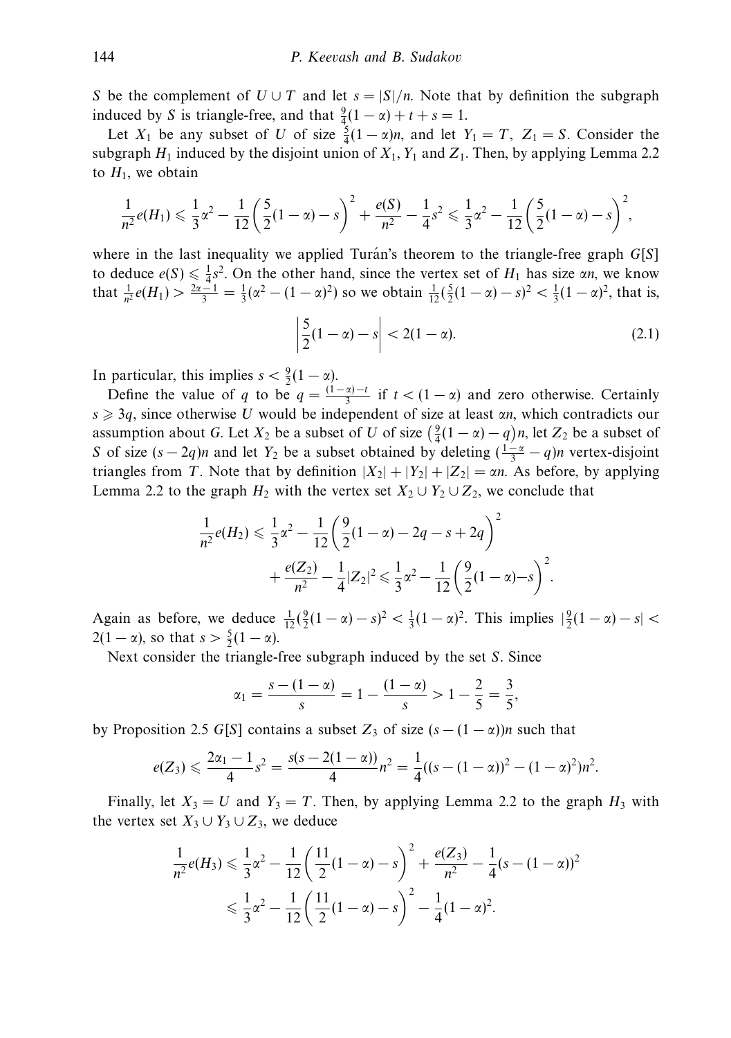*S* be the complement of  $U \cup T$  and let  $s = |S|/n$ . Note that by definition the subgraph induced by *S* is triangle-free, and that  $\frac{9}{4}(1 - \alpha) + t + s = 1$ .

Let  $X_1$  be any subset of *U* of size  $\frac{5}{4}(1-\alpha)n$ , and let  $Y_1 = T$ ,  $Z_1 = S$ . Consider the subgraph  $H_1$  induced by the disjoint union of  $X_1, Y_1$  and  $Z_1$ . Then, by applying Lemma 2.2 to  $H_1$ , we obtain

$$
\frac{1}{n^2}e(H_1) \leq \frac{1}{3}\alpha^2 - \frac{1}{12}\left(\frac{5}{2}(1-\alpha)-s\right)^2 + \frac{e(S)}{n^2} - \frac{1}{4}s^2 \leq \frac{1}{3}\alpha^2 - \frac{1}{12}\left(\frac{5}{2}(1-\alpha)-s\right)^2,
$$

where in the last inequality we applied Turán's theorem to the triangle-free graph  $G[S]$ to deduce  $e(S) \le \frac{1}{4}s^2$ . On the other hand, since the vertex set of  $H_1$  has size *αn*, we know that  $\frac{1}{n^2}e(H_1) > \frac{2\alpha - 1}{3} = \frac{1}{3}(\alpha^2 - (1 - \alpha)^2)$  so we obtain  $\frac{1}{12}(\frac{5}{2}(1 - \alpha) - s)^2 < \frac{1}{3}(1 - \alpha)^2$ , that is,

$$
\left| \frac{5}{2}(1 - \alpha) - s \right| < 2(1 - \alpha). \tag{2.1}
$$

*.*

In particular, this implies  $s < \frac{9}{2}(1 - \alpha)$ .

Define the value of *q* to be  $q = \frac{(1 - \alpha) - t}{3}$  if  $t < (1 - \alpha)$  and zero otherwise. Certainly *s* ≥ 3*q*, since otherwise *U* would be independent of size at least *αn*, which contradicts our assumption about *G*. Let  $X_2$  be a subset of *U* of size  $(\frac{9}{4}(1-\alpha) - q)n$ , let  $Z_2$  be a subset of *S* of size  $(s - 2q)n$  and let  $Y_2$  be a subset obtained by deleting  $(\frac{1-\alpha}{3} - q)n$  vertex-disjoint triangles from *T*. Note that by definition  $|X_2| + |Y_2| + |Z_2| = \alpha n$ . As before, by applying Lemma 2.2 to the graph  $H_2$  with the vertex set  $X_2 \cup Y_2 \cup Z_2$ , we conclude that

$$
\frac{1}{n^2}e(H_2) \leq \frac{1}{3}\alpha^2 - \frac{1}{12}\left(\frac{9}{2}(1-\alpha) - 2q - s + 2q\right)^2
$$

$$
+ \frac{e(Z_2)}{n^2} - \frac{1}{4}|Z_2|^2 \leq \frac{1}{3}\alpha^2 - \frac{1}{12}\left(\frac{9}{2}(1-\alpha) - s\right)^2
$$

Again as before, we deduce  $\frac{1}{12}(\frac{9}{2}(1-\alpha)-s)^2 < \frac{1}{3}(1-\alpha)^2$ . This implies  $|\frac{9}{2}(1-\alpha)-s| <$  $2(1 - \alpha)$ , so that  $s > \frac{5}{2}(1 - \alpha)$ .

Next consider the triangle-free subgraph induced by the set *S*. Since

$$
\alpha_1 = \frac{s - (1 - \alpha)}{s} = 1 - \frac{(1 - \alpha)}{s} > 1 - \frac{2}{5} = \frac{3}{5},
$$

by Proposition 2.5 *G*[*S*] contains a subset  $Z_3$  of size  $(s - (1 - \alpha))n$  such that

$$
e(Z_3) \leqslant \frac{2\alpha_1 - 1}{4}s^2 = \frac{s(s - 2(1 - \alpha))}{4}n^2 = \frac{1}{4}((s - (1 - \alpha))^2 - (1 - \alpha)^2)n^2.
$$

Finally, let  $X_3 = U$  and  $Y_3 = T$ . Then, by applying Lemma 2.2 to the graph  $H_3$  with the vertex set  $X_3 \cup Y_3 \cup Z_3$ , we deduce

$$
\frac{1}{n^2}e(H_3) \leq \frac{1}{3}\alpha^2 - \frac{1}{12}\left(\frac{11}{2}(1-\alpha) - s\right)^2 + \frac{e(Z_3)}{n^2} - \frac{1}{4}(s - (1-\alpha))^2
$$
  

$$
\leq \frac{1}{3}\alpha^2 - \frac{1}{12}\left(\frac{11}{2}(1-\alpha) - s\right)^2 - \frac{1}{4}(1-\alpha)^2.
$$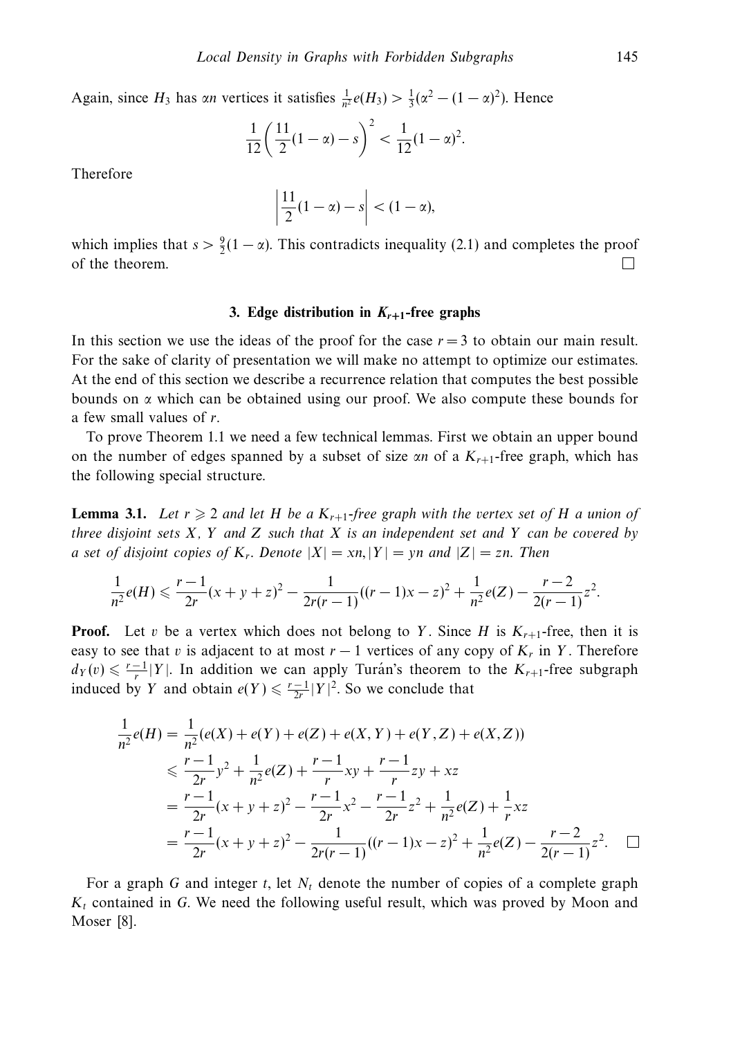Again, since  $H_3$  has *αn* vertices it satisfies  $\frac{1}{n^2}e(H_3) > \frac{1}{3}(\alpha^2 - (1 - \alpha)^2)$ . Hence

$$
\frac{1}{12} \left( \frac{11}{2} (1 - \alpha) - s \right)^2 < \frac{1}{12} (1 - \alpha)^2.
$$

Therefore

$$
\left|\frac{11}{2}(1-\alpha)-s\right| < (1-\alpha),
$$

which implies that  $s > \frac{9}{2}(1 - \alpha)$ . This contradicts inequality (2.1) and completes the proof of the theorem. П

# **3. Edge distribution in**  $K_{r+1}$ -free graphs

In this section we use the ideas of the proof for the case  $r = 3$  to obtain our main result. For the sake of clarity of presentation we will make no attempt to optimize our estimates. At the end of this section we describe a recurrence relation that computes the best possible bounds on *α* which can be obtained using our proof. We also compute these bounds for a few small values of *r*.

To prove Theorem 1.1 we need a few technical lemmas. First we obtain an upper bound on the number of edges spanned by a subset of size  $\alpha n$  of a  $K_{r+1}$ -free graph, which has the following special structure.

**Lemma 3.1.** Let  $r \geq 2$  and let *H* be a  $K_{r+1}$ -free graph with the vertex set of *H* a union of three disjoint sets *X*, *Y* and *Z* such that *X* is an independent set and *Y* can be covered by a set of disjoint copies of  $K_r$ . Denote  $|X| = xn$ ,  $|Y| = yn$  and  $|Z| = zn$ . Then

$$
\frac{1}{n^2}e(H) \leqslant \frac{r-1}{2r}(x+y+z)^2 - \frac{1}{2r(r-1)}((r-1)x-z)^2 + \frac{1}{n^2}e(Z) - \frac{r-2}{2(r-1)}z^2.
$$

**Proof.** Let *v* be a vertex which does not belong to *Y*. Since *H* is  $K_{r+1}$ -free, then it is easy to see that *v* is adjacent to at most  $r - 1$  vertices of any copy of  $K_r$  in *Y*. Therefore  $d_Y(v) \leq \frac{r-1}{r} |Y|$ . In addition we can apply Turan's theorem to the  $K_{r+1}$ -free subgraph induced by *Y* and obtain  $e(Y) \le \frac{r-1}{2r} |Y|^2$ . So we conclude that

$$
\frac{1}{n^2}e(H) = \frac{1}{n^2}(e(X) + e(Y) + e(Z) + e(X, Y) + e(Y, Z) + e(X, Z))
$$
\n
$$
\leq \frac{r-1}{2r}y^2 + \frac{1}{n^2}e(Z) + \frac{r-1}{r}xy + \frac{r-1}{r}zy + xz
$$
\n
$$
= \frac{r-1}{2r}(x+y+z)^2 - \frac{r-1}{2r}x^2 - \frac{r-1}{2r}z^2 + \frac{1}{n^2}e(Z) + \frac{1}{r}xz
$$
\n
$$
= \frac{r-1}{2r}(x+y+z)^2 - \frac{1}{2r(r-1)}((r-1)x-z)^2 + \frac{1}{n^2}e(Z) - \frac{r-2}{2(r-1)}z^2. \quad \Box
$$

For a graph *G* and integer *t*, let *Nt* denote the number of copies of a complete graph *Kt* contained in *G*. We need the following useful result, which was proved by Moon and Moser [8].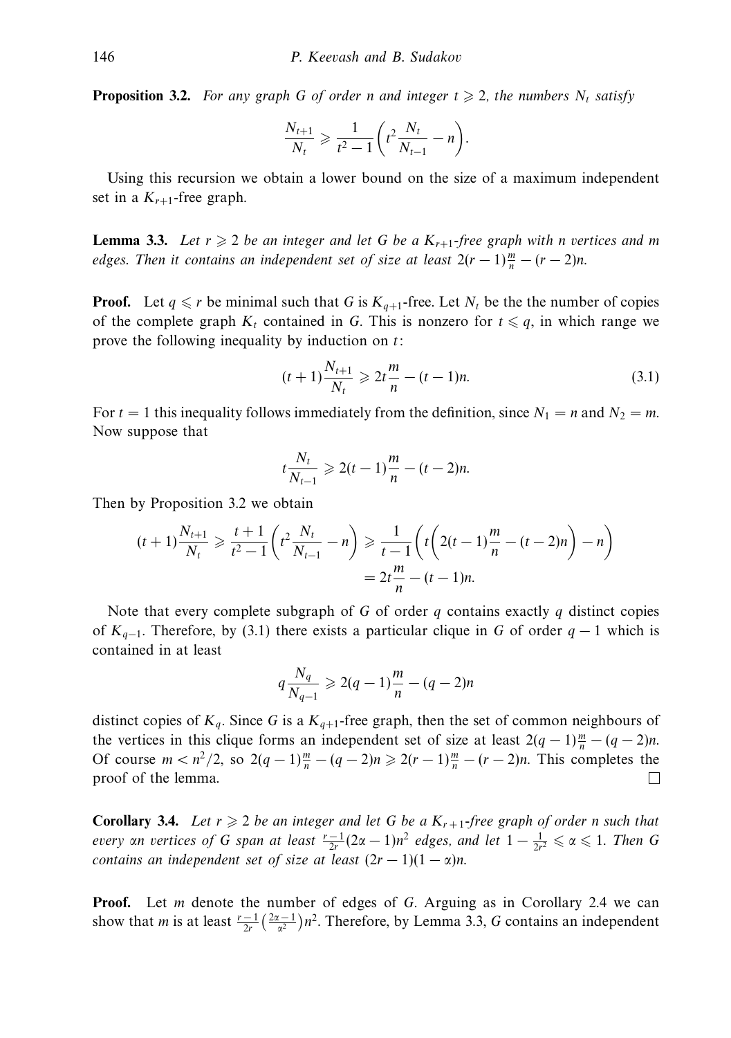**Proposition 3.2.** For any graph *G* of order *n* and integer  $t \ge 2$ , the numbers  $N_t$  satisfy

$$
\frac{N_{t+1}}{N_t} \geq \frac{1}{t^2 - 1} \left( t^2 \frac{N_t}{N_{t-1}} - n \right).
$$

Using this recursion we obtain a lower bound on the size of a maximum independent set in a  $K_{r+1}$ -free graph.

**Lemma 3.3.** Let  $r \geq 2$  be an integer and let G be a  $K_{r+1}$ -free graph with *n* vertices and *m* edges. Then it contains an independent set of size at least  $2(r-1)\frac{m}{n}-(r-2)n$ .

**Proof.** Let  $q \le r$  be minimal such that G is  $K_{q+1}$ -free. Let  $N_t$  be the the number of copies of the complete graph  $K_t$  contained in G. This is nonzero for  $t \leq q$ , in which range we prove the following inequality by induction on *t*:

$$
(t+1)\frac{N_{t+1}}{N_t} \geq 2t\frac{m}{n} - (t-1)n.
$$
 (3.1)

For  $t = 1$  this inequality follows immediately from the definition, since  $N_1 = n$  and  $N_2 = m$ . Now suppose that

$$
t\frac{N_t}{N_{t-1}} \geq 2(t-1)\frac{m}{n} - (t-2)n.
$$

Then by Proposition 3.2 we obtain

$$
(t+1)\frac{N_{t+1}}{N_t} \ge \frac{t+1}{t^2-1} \left( t^2 \frac{N_t}{N_{t-1}} - n \right) \ge \frac{1}{t-1} \left( t \left( 2(t-1)\frac{m}{n} - (t-2)n \right) - n \right)
$$
  
=  $2t \frac{m}{n} - (t-1)n$ .

Note that every complete subgraph of *G* of order *q* contains exactly *q* distinct copies of *Kq*−1. Therefore, by (3.1) there exists a particular clique in *G* of order *q* − 1 which is contained in at least

$$
q\frac{N_q}{N_{q-1}} \geq 2(q-1)\frac{m}{n} - (q-2)n
$$

distinct copies of  $K_q$ . Since G is a  $K_{q+1}$ -free graph, then the set of common neighbours of the vertices in this clique forms an independent set of size at least  $2(q-1)\frac{m}{n} - (q-2)n$ . Of course  $m < n^2/2$ , so  $2(q-1)\frac{m}{n} - (q-2)n \ge 2(r-1)\frac{m}{n} - (r-2)n$ . This completes the proof of the lemma. □

**Corollary 3.4.** Let  $r \ge 2$  be an integer and let G be a  $K_{r+1}$ -free graph of order *n* such that  $every \,$  an vertices of G span at least  $\frac{r-1}{2r}(2\alpha-1)n^2$  edges, and let  $1-\frac{1}{2r^2}\leqslant \alpha \leqslant 1$ . Then G contains an independent set of size at least  $(2r - 1)(1 - \alpha)n$ .

**Proof.** Let *m* denote the number of edges of *G*. Arguing as in Corollary 2.4 we can show that *m* is at least  $\frac{r-1}{2r}(\frac{2\alpha-1}{\alpha^2})n^2$ . Therefore, by Lemma 3.3, *G* contains an independent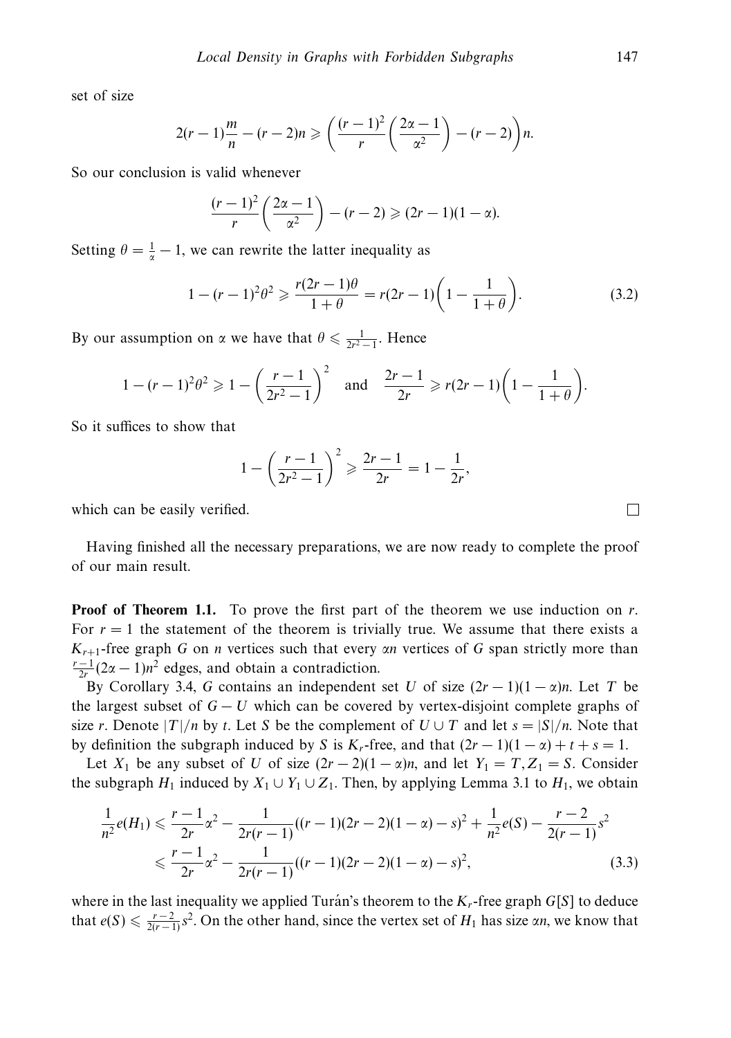set of size

$$
2(r-1)\frac{m}{n}-(r-2)n\geqslant\left(\frac{(r-1)^2}{r}\left(\frac{2\alpha-1}{\alpha^2}\right)-(r-2)\right)n.
$$

So our conclusion is valid whenever

$$
\frac{(r-1)^2}{r}\left(\frac{2\alpha-1}{\alpha^2}\right)-(r-2)\geqslant(2r-1)(1-\alpha).
$$

Setting  $\theta = \frac{1}{\alpha} - 1$ , we can rewrite the latter inequality as

$$
1 - (r - 1)^2 \theta^2 \ge \frac{r(2r - 1)\theta}{1 + \theta} = r(2r - 1)\left(1 - \frac{1}{1 + \theta}\right).
$$
 (3.2)

By our assumption on *α* we have that  $\theta \le \frac{1}{2r^2 - 1}$ . Hence

$$
1 - (r - 1)^2 \theta^2 \geq 1 - \left(\frac{r - 1}{2r^2 - 1}\right)^2 \quad \text{and} \quad \frac{2r - 1}{2r} \geq r(2r - 1)\left(1 - \frac{1}{1 + \theta}\right).
$$

So it suffices to show that

$$
1 - \left(\frac{r-1}{2r^2 - 1}\right)^2 \geqslant \frac{2r-1}{2r} = 1 - \frac{1}{2r},
$$

which can be easily verified.

Having finished all the necessary preparations, we are now ready to complete the proof of our main result.

**Proof of Theorem 1.1.** To prove the first part of the theorem we use induction on *r*. For  $r = 1$  the statement of the theorem is trivially true. We assume that there exists a *Kr*+1-free graph *G* on *n* vertices such that every *αn* vertices of *G* span strictly more than  $\frac{r-1}{2r}(2\alpha-1)n^2$  edges, and obtain a contradiction.

By Corollary 3.4, *G* contains an independent set *U* of size  $(2r - 1)(1 - \alpha)n$ . Let *T* be the largest subset of  $G - U$  which can be covered by vertex-disjoint complete graphs of size *r*. Denote  $|T|/n$  by *t*. Let *S* be the complement of  $U \cup T$  and let  $s = |S|/n$ . Note that by definition the subgraph induced by *S* is  $K_r$ -free, and that  $(2r - 1)(1 - \alpha) + t + s = 1$ .

Let  $X_1$  be any subset of *U* of size  $(2r - 2)(1 - \alpha)n$ , and let  $Y_1 = T, Z_1 = S$ . Consider the subgraph  $H_1$  induced by  $X_1 \cup Y_1 \cup Z_1$ . Then, by applying Lemma 3.1 to  $H_1$ , we obtain

$$
\frac{1}{n^2}e(H_1) \leq \frac{r-1}{2r}\alpha^2 - \frac{1}{2r(r-1)}((r-1)(2r-2)(1-\alpha)-s)^2 + \frac{1}{n^2}e(S) - \frac{r-2}{2(r-1)}s^2
$$
\n
$$
\leq \frac{r-1}{2r}\alpha^2 - \frac{1}{2r(r-1)}((r-1)(2r-2)(1-\alpha)-s)^2,
$$
\n(3.3)

where in the last inequality we applied Turán's theorem to the  $K_r$ -free graph  $G[S]$  to deduce that  $e(S) \le \frac{r-2}{2(r-1)}s^2$ . On the other hand, since the vertex set of  $H_1$  has size  $\alpha n$ , we know that

 $\Box$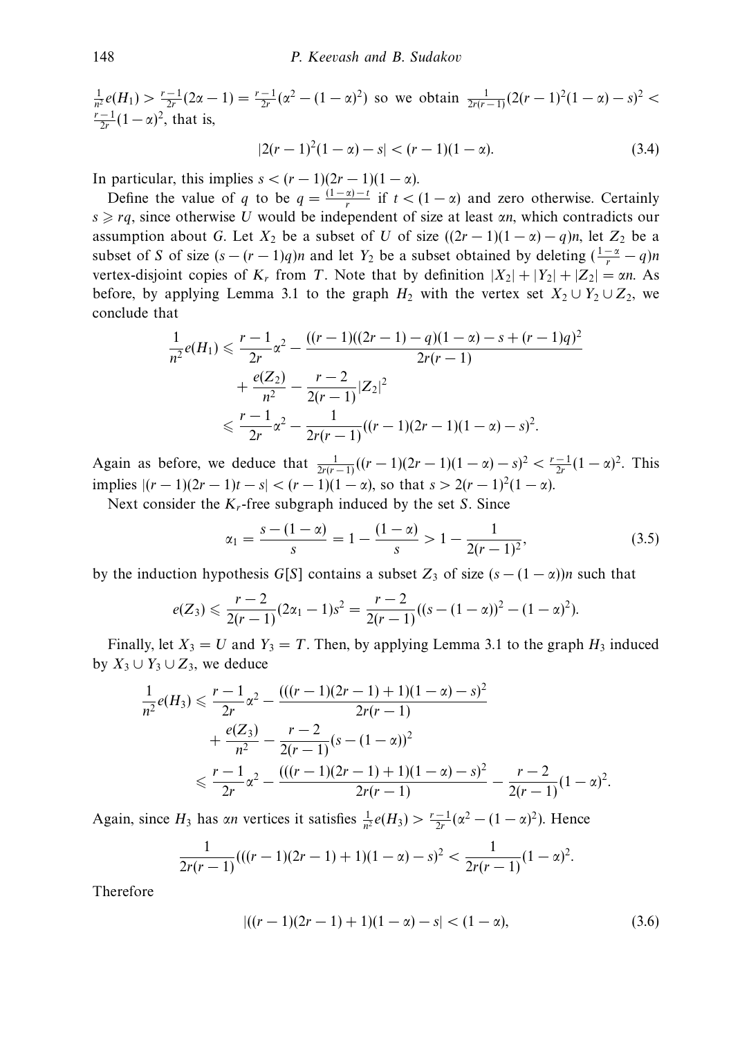$\frac{1}{n^2}e(H_1) > \frac{r-1}{2r}(2\alpha - 1) = \frac{r-1}{2r}(\alpha^2 - (1-\alpha)^2)$  so we obtain  $\frac{1}{2r(r-1)}(2(r-1)^2(1-\alpha) - s)^2 <$  $\frac{r-1}{2r}(1-\alpha)^2$ , that is,

$$
|2(r-1)^2(1-\alpha)-s| < (r-1)(1-\alpha). \tag{3.4}
$$

In particular, this implies  $s < (r-1)(2r-1)(1-\alpha)$ .

Define the value of *q* to be  $q = \frac{(1 - \alpha) - t}{r}$  if  $t < (1 - \alpha)$  and zero otherwise. Certainly *s* ≥ *rq*, since otherwise *U* would be independent of size at least *αn*, which contradicts our assumption about *G*. Let  $X_2$  be a subset of *U* of size  $((2r - 1)(1 - \alpha) - q)n$ , let  $Z_2$  be a subset of *S* of size  $(s - (r - 1)q)n$  and let  $Y_2$  be a subset obtained by deleting  $(\frac{1-\alpha}{r} - q)n$ vertex-disjoint copies of  $K_r$  from *T*. Note that by definition  $|X_2| + |Y_2| + |Z_2| = \alpha n$ . As before, by applying Lemma 3.1 to the graph  $H_2$  with the vertex set  $X_2 \cup Y_2 \cup Z_2$ , we conclude that

$$
\frac{1}{n^2}e(H_1) \le \frac{r-1}{2r}\alpha^2 - \frac{((r-1)((2r-1)-q)(1-\alpha)-s+(r-1)q)^2}{2r(r-1)} + \frac{e(Z_2)}{n^2} - \frac{r-2}{2(r-1)}|Z_2|^2
$$
  

$$
\le \frac{r-1}{2r}\alpha^2 - \frac{1}{2r(r-1)}((r-1)(2r-1)(1-\alpha)-s)^2.
$$

Again as before, we deduce that  $\frac{1}{2r(r-1)}((r-1)(2r-1)(1-\alpha)-s)^2 < \frac{r-1}{2r}(1-\alpha)^2$ . This implies  $|(r-1)(2r-1)t-s| < (r-1)(1-\alpha)$ , so that  $s > 2(r-1)^2(1-\alpha)$ .

Next consider the *Kr*-free subgraph induced by the set *S*. Since

$$
\alpha_1 = \frac{s - (1 - \alpha)}{s} = 1 - \frac{(1 - \alpha)}{s} > 1 - \frac{1}{2(r - 1)^2},\tag{3.5}
$$

by the induction hypothesis *G*[*S*] contains a subset  $Z_3$  of size  $(s - (1 - \alpha)n$  such that

$$
e(Z_3) \leqslant \frac{r-2}{2(r-1)}(2\alpha_1-1)s^2 = \frac{r-2}{2(r-1)}((s-(1-\alpha))^2-(1-\alpha)^2).
$$

Finally, let  $X_3 = U$  and  $Y_3 = T$ . Then, by applying Lemma 3.1 to the graph  $H_3$  induced by  $X_3 \cup Y_3 \cup Z_3$ , we deduce

$$
\frac{1}{n^2}e(H_3) \leq \frac{r-1}{2r}\alpha^2 - \frac{(((r-1)(2r-1)+1)(1-\alpha)-s)^2}{2r(r-1)} + \frac{e(Z_3)}{n^2} - \frac{r-2}{2(r-1)}(s-(1-\alpha))^2
$$
  

$$
\leq \frac{r-1}{2r}\alpha^2 - \frac{(((r-1)(2r-1)+1)(1-\alpha)-s)^2}{2r(r-1)} - \frac{r-2}{2(r-1)}(1-\alpha)^2.
$$

Again, since  $H_3$  has *αn* vertices it satisfies  $\frac{1}{n^2}e(H_3) > \frac{r-1}{2r}(\alpha^2 - (1-\alpha)^2)$ . Hence

$$
\frac{1}{2r(r-1)}(((r-1)(2r-1)+1)(1-\alpha)-s)^2 < \frac{1}{2r(r-1)}(1-\alpha)^2.
$$

Therefore

$$
|((r-1)(2r-1)+1)(1-\alpha)-s| < (1-\alpha),\tag{3.6}
$$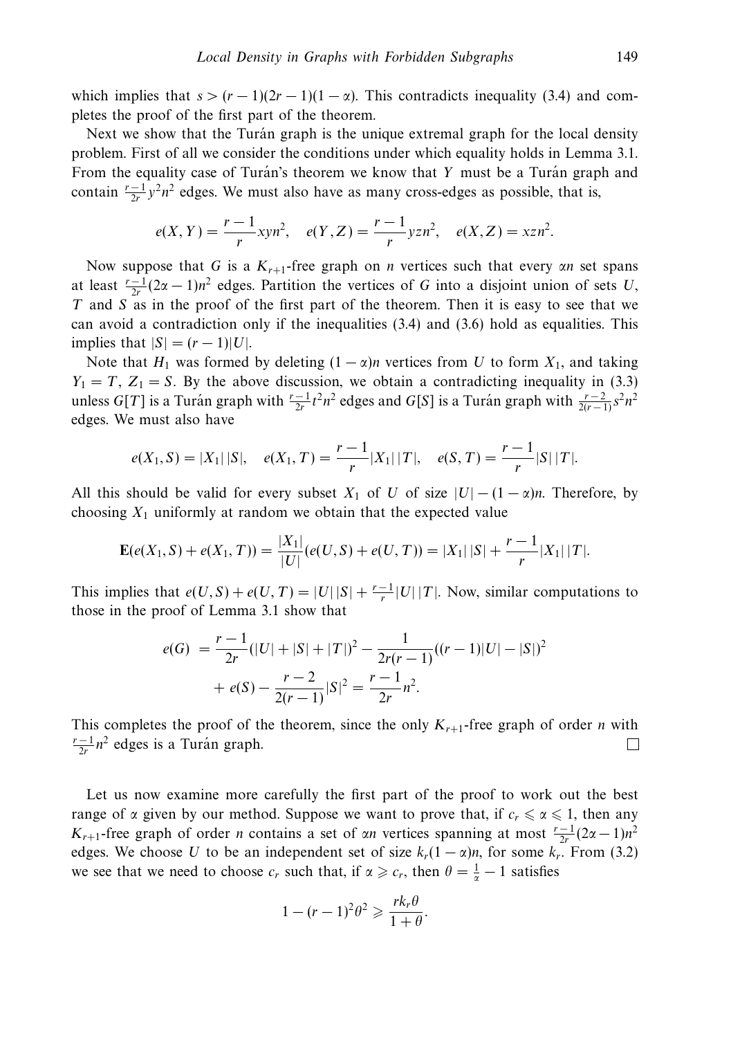which implies that  $s > (r - 1)(2r - 1)(1 - \alpha)$ . This contradicts inequality (3.4) and completes the proof of the first part of the theorem.

Next we show that the Turan graph is the unique extremal graph for the local density problem. First of all we consider the conditions under which equality holds in Lemma 3.1. From the equality case of Turan's theorem we know that Y must be a Turan graph and contain  $\frac{r-1}{2r}y^2n^2$  edges. We must also have as many cross-edges as possible, that is,

$$
e(X, Y) = \frac{r-1}{r} \, xyn^2, \quad e(Y, Z) = \frac{r-1}{r} \, y \, zn^2, \quad e(X, Z) = x \, zn^2.
$$

Now suppose that *G* is a *Kr*+1-free graph on *n* vertices such that every *αn* set spans at least  $\frac{r-1}{2r}(2\alpha-1)n^2$  edges. Partition the vertices of *G* into a disjoint union of sets *U*, *T* and *S* as in the proof of the first part of the theorem. Then it is easy to see that we can avoid a contradiction only if the inequalities (3.4) and (3.6) hold as equalities. This implies that  $|S| = (r-1)|U|$ .

Note that  $H_1$  was formed by deleting  $(1 - \alpha)n$  vertices from *U* to form  $X_1$ , and taking  $Y_1 = T$ ,  $Z_1 = S$ . By the above discussion, we obtain a contradicting inequality in (3.3) unless *G*[*T*] is a Turan graph with  $\frac{r-1}{2r}t^2n^2$  edges and *G*[*S*] is a Turan graph with  $\frac{r-2}{2(r-1)}s^2n^2$ edges. We must also have

$$
e(X_1, S) = |X_1| |S|, \quad e(X_1, T) = \frac{r-1}{r} |X_1| |T|, \quad e(S, T) = \frac{r-1}{r} |S| |T|.
$$

All this should be valid for every subset  $X_1$  of *U* of size  $|U| - (1 - \alpha)n$ . Therefore, by choosing  $X_1$  uniformly at random we obtain that the expected value

$$
\mathbf{E}(e(X_1, S) + e(X_1, T)) = \frac{|X_1|}{|U|}(e(U, S) + e(U, T)) = |X_1| |S| + \frac{r-1}{r} |X_1| |T|.
$$

This implies that  $e(U, S) + e(U, T) = |U||S| + \frac{r-1}{r}|U||T|$ . Now, similar computations to those in the proof of Lemma 3.1 show that

$$
e(G) = \frac{r-1}{2r}(|U| + |S| + |T|)^2 - \frac{1}{2r(r-1)}((r-1)|U| - |S|)^2
$$

$$
+ e(S) - \frac{r-2}{2(r-1)}|S|^2 = \frac{r-1}{2r}n^2.
$$

This completes the proof of the theorem, since the only  $K_{r+1}$ -free graph of order *n* with  $\frac{r-1}{2r}n^2$  edges is a Turan graph. □

Let us now examine more carefully the first part of the proof to work out the best range of *α* given by our method. Suppose we want to prove that, if  $c_r \le a \le 1$ , then any *K<sub>r+1</sub>*-free graph of order *n* contains a set of *αn* vertices spanning at most  $\frac{r-1}{2r}(2\alpha-1)n^2$ edges. We choose *U* to be an independent set of size  $k_r(1-\alpha)n$ , for some  $k_r$ . From (3.2) we see that we need to choose  $c_r$  such that, if  $\alpha \geq c_r$ , then  $\theta = \frac{1}{\alpha} - 1$  satisfies

$$
1 - (r - 1)^2 \theta^2 \geqslant \frac{rk_r \theta}{1 + \theta}.
$$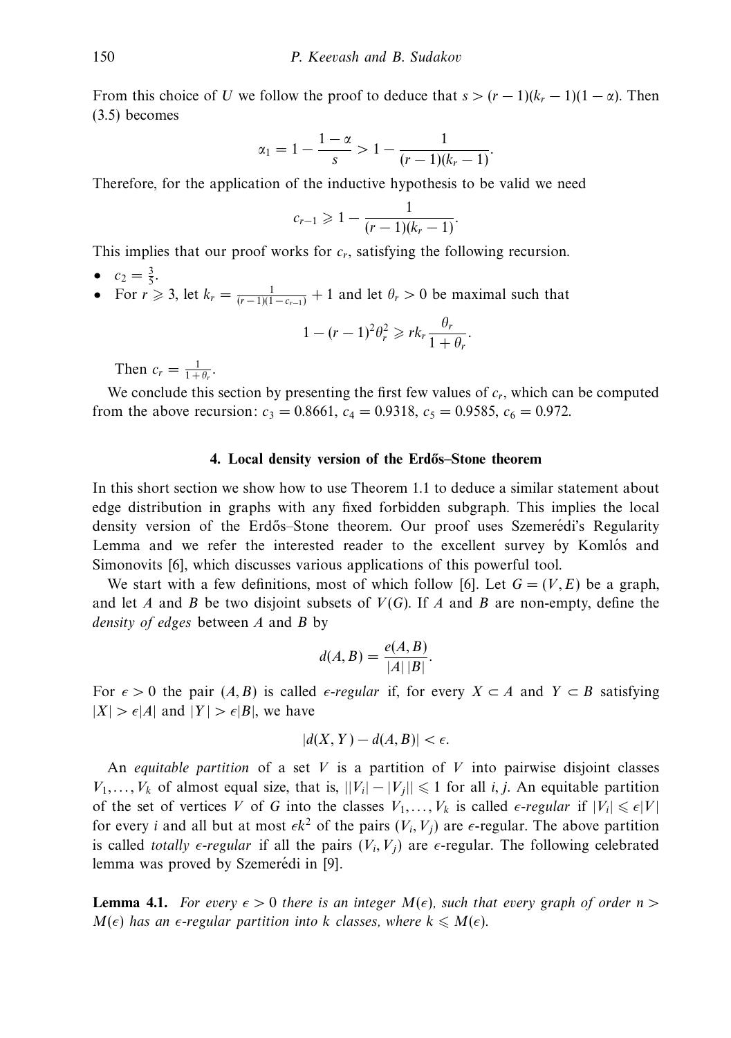From this choice of *U* we follow the proof to deduce that  $s > (r - 1)(k_r - 1)(1 - \alpha)$ . Then (3.5) becomes

$$
\alpha_1 = 1 - \frac{1 - \alpha}{s} > 1 - \frac{1}{(r - 1)(k_r - 1)}.
$$

Therefore, for the application of the inductive hypothesis to be valid we need

$$
c_{r-1} \geq 1 - \frac{1}{(r-1)(k_r-1)}.
$$

This implies that our proof works for *cr*, satisfying the following recursion.

- $c_2 = \frac{3}{5}$ .
- For  $r \ge 3$ , let  $k_r = \frac{1}{(r-1)(1-c_{r-1})} + 1$  and let  $\theta_r > 0$  be maximal such that

$$
1 - (r - 1)^2 \theta_r^2 \geqslant rk_r \frac{\theta_r}{1 + \theta_r}.
$$

Then  $c_r = \frac{1}{1 + \theta_r}$ .

We conclude this section by presenting the first few values of *cr*, which can be computed from the above recursion:  $c_3 = 0.8661$ ,  $c_4 = 0.9318$ ,  $c_5 = 0.9585$ ,  $c_6 = 0.972$ .

## **4.** Local density version of the Erdős–Stone theorem

In this short section we show how to use Theorem 1.1 to deduce a similar statement about edge distribution in graphs with any fixed forbidden subgraph. This implies the local density version of the Erdős–Stone theorem. Our proof uses Szemerédi's Regularity Lemma and we refer the interested reader to the excellent survey by Komlós and Simonovits [6], which discusses various applications of this powerful tool.

We start with a few definitions, most of which follow [6]. Let  $G = (V, E)$  be a graph, and let *A* and *B* be two disjoint subsets of *V*(*G*). If *A* and *B* are non-empty, define the density of edges between *A* and *B* by

$$
d(A, B) = \frac{e(A, B)}{|A| |B|}.
$$

For  $\epsilon > 0$  the pair  $(A, B)$  is called  $\epsilon$ -regular if, for every  $X \subset A$  and  $Y \subset B$  satisfying  $|X| > \epsilon |A|$  and  $|Y| > \epsilon |B|$ , we have

$$
|d(X, Y) - d(A, B)| < \epsilon.
$$

An *equitable partition* of a set  $V$  is a partition of  $V$  into pairwise disjoint classes *V*<sub>1</sub>,...,*V*<sub>k</sub> of almost equal size, that is,  $||V_i| − |V_j|| ≤ 1$  for all *i*, *j*. An equitable partition of the set of vertices *V* of *G* into the classes  $V_1, \ldots, V_k$  is called  $\epsilon$ -regular if  $|V_i| \leq \epsilon |V|$ for every *i* and all but at most  $\epsilon k^2$  of the pairs  $(V_i, V_j)$  are  $\epsilon$ -regular. The above partition is called *totally e-regular* if all the pairs  $(V_i, V_j)$  are  $\epsilon$ -regular. The following celebrated lemma was proved by Szemerédi in [9].

**Lemma 4.1.** For every  $\epsilon > 0$  there is an integer  $M(\epsilon)$ , such that every graph of order  $n > 0$  $M(\epsilon)$  has an  $\epsilon$ -regular partition into *k* classes, where  $k \le M(\epsilon)$ .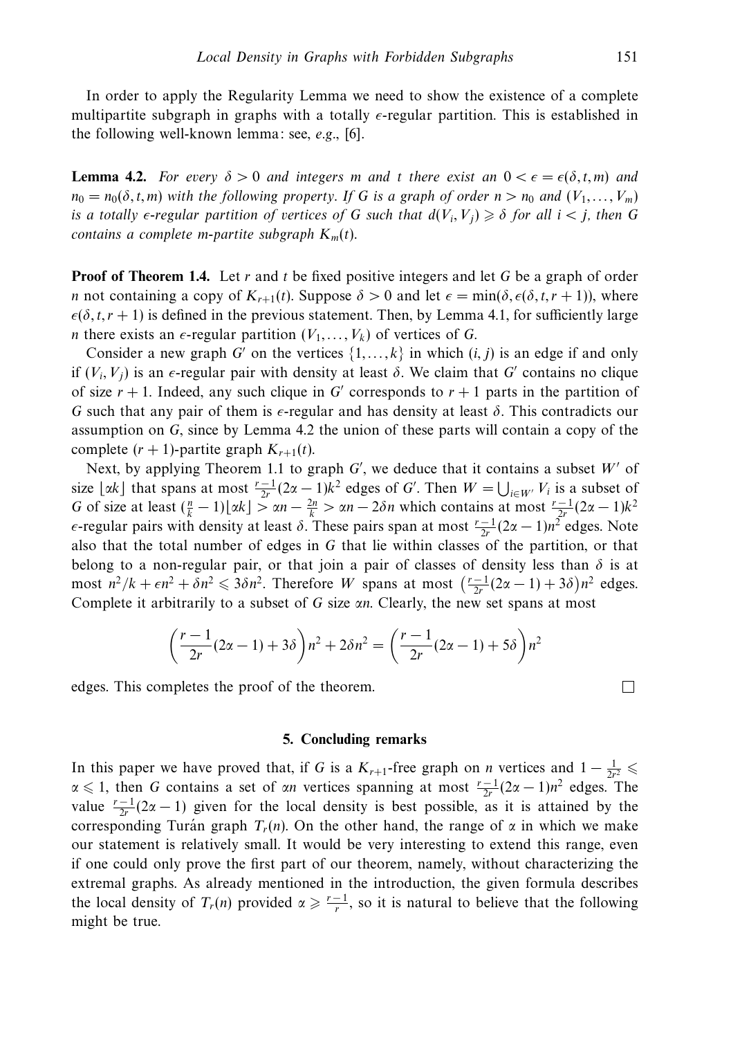In order to apply the Regularity Lemma we need to show the existence of a complete multipartite subgraph in graphs with a totally  $\epsilon$ -regular partition. This is established in the following well-known lemma: see, e.g., [6].

**Lemma 4.2.** For every  $\delta > 0$  and integers *m* and *t* there exist an  $0 < \epsilon = \epsilon(\delta, t, m)$  and  $n_0 = n_0(\delta, t, m)$  with the following property. If *G* is a graph of order  $n > n_0$  and  $(V_1, \ldots, V_m)$ is a totally  $\epsilon$ -regular partition of vertices of G such that  $d(V_i, V_j) \geq \delta$  for all  $i < j$ , then G contains a complete m-partite subgraph  $K_m(t)$ .

**Proof of Theorem 1.4.** Let *r* and *t* be fixed positive integers and let *G* be a graph of order *n* not containing a copy of  $K_{r+1}(t)$ . Suppose  $\delta > 0$  and let  $\epsilon = \min(\delta, \epsilon(\delta, t, r + 1))$ , where  $\epsilon(\delta, t, r + 1)$  is defined in the previous statement. Then, by Lemma 4.1, for sufficiently large *n* there exists an  $\epsilon$ -regular partition  $(V_1, \ldots, V_k)$  of vertices of *G*.

Consider a new graph *G'* on the vertices  $\{1, \ldots, k\}$  in which  $(i, j)$  is an edge if and only if  $(V_i, V_j)$  is an  $\epsilon$ -regular pair with density at least  $\delta$ . We claim that *G'* contains no clique of size  $r + 1$ . Indeed, any such clique in *G'* corresponds to  $r + 1$  parts in the partition of *G* such that any pair of them is  $\epsilon$ -regular and has density at least  $\delta$ . This contradicts our assumption on *G*, since by Lemma 4.2 the union of these parts will contain a copy of the complete  $(r + 1)$ -partite graph  $K_{r+1}(t)$ .

Next, by applying Theorem 1.1 to graph *G'*, we deduce that it contains a subset W' of size  $\lfloor \alpha k \rfloor$  that spans at most  $\frac{r-1}{2r}(2\alpha-1)k^2$  edges of *G'*. Then  $W = \bigcup_{i \in W'} V_i$  is a subset of *G* of size at least  $(\frac{n}{k} - 1)|\alpha k| > \alpha n - \frac{2n}{k} > \alpha n - 2\delta n$  which contains at most  $\frac{r-1}{2r}(2\alpha - 1)k^2$ *ε*-regular pairs with density at least  $\delta$ . These pairs span at most  $\frac{r-1}{2r}(2\alpha-1)n^2$  edges. Note also that the total number of edges in *G* that lie within classes of the partition, or that belong to a non-regular pair, or that join a pair of classes of density less than  $\delta$  is at most  $n^2/k + \epsilon n^2 + \delta n^2 \leq 3\delta n^2$ . Therefore *W* spans at most  $\left(\frac{r-1}{2r}(2\alpha-1)+3\delta\right)n^2$  edges. Complete it arbitrarily to a subset of *G* size *αn*. Clearly, the new set spans at most

$$
\left(\frac{r-1}{2r}(2\alpha-1)+3\delta\right)n^2+2\delta n^2=\left(\frac{r-1}{2r}(2\alpha-1)+5\delta\right)n^2
$$

edges. This completes the proof of the theorem.

## **5. Concluding remarks**

In this paper we have proved that, if *G* is a  $K_{r+1}$ -free graph on *n* vertices and  $1 - \frac{1}{2r^2} \leq$  $\alpha \leq 1$ , then *G* contains a set of *αn* vertices spanning at most  $\frac{r-1}{2r}(2\alpha-1)n^2$  edges. The value  $\frac{r-1}{2r}(2\alpha-1)$  given for the local density is best possible, as it is attained by the corresponding Turán graph  $T_r(n)$ . On the other hand, the range of  $\alpha$  in which we make our statement is relatively small. It would be very interesting to extend this range, even if one could only prove the first part of our theorem, namely, without characterizing the extremal graphs. As already mentioned in the introduction, the given formula describes the local density of  $T_r(n)$  provided  $\alpha \geqslant \frac{r-1}{r}$ , so it is natural to believe that the following might be true.

 $\Box$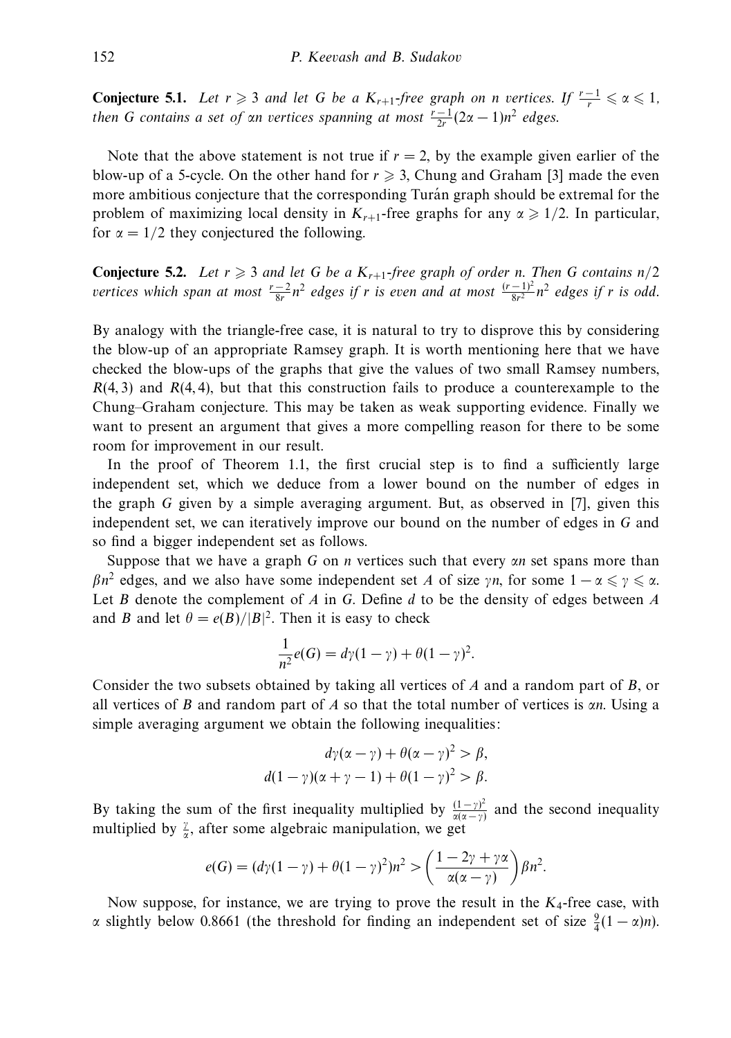**Conjecture 5.1.** Let  $r \ge 3$  and let *G* be a  $K_{r+1}$ -free graph on *n* vertices. If  $\frac{r-1}{r} \le \alpha \le 1$ , then *G* contains a set of  $\alpha n$  vertices spanning at most  $\frac{r-1}{2r}(2\alpha-1)n^2$  edges.

Note that the above statement is not true if  $r = 2$ , by the example given earlier of the blow-up of a 5-cycle. On the other hand for  $r \geqslant 3$ , Chung and Graham [3] made the even more ambitious conjecture that the corresponding Turan graph should be extremal for the problem of maximizing local density in  $K_{r+1}$ -free graphs for any  $\alpha \geq 1/2$ . In particular, for  $\alpha = 1/2$  they conjectured the following.

**Conjecture 5.2.** Let  $r \geq 3$  and let G be a  $K_{r+1}$ -free graph of order *n*. Then G contains  $n/2$ vertices which span at most  $\frac{r-2}{8r}n^2$  edges if *r* is even and at most  $\frac{(r-1)^2}{8r^2}n^2$  edges if *r* is odd.

By analogy with the triangle-free case, it is natural to try to disprove this by considering the blow-up of an appropriate Ramsey graph. It is worth mentioning here that we have checked the blow-ups of the graphs that give the values of two small Ramsey numbers, *R*(4*,* 3) and *R*(4*,* 4), but that this construction fails to produce a counterexample to the Chung–Graham conjecture. This may be taken as weak supporting evidence. Finally we want to present an argument that gives a more compelling reason for there to be some room for improvement in our result.

In the proof of Theorem 1.1, the first crucial step is to find a sufficiently large independent set, which we deduce from a lower bound on the number of edges in the graph *G* given by a simple averaging argument. But, as observed in [7], given this independent set, we can iteratively improve our bound on the number of edges in *G* and so find a bigger independent set as follows.

Suppose that we have a graph *G* on *n* vertices such that every *αn* set spans more than *βn*<sup>2</sup> edges, and we also have some independent set *A* of size *γn*, for some  $1 - \alpha \leq \gamma \leq \alpha$ . Let *B* denote the complement of *A* in *G*. Define *d* to be the density of edges between *A* and *B* and let  $\theta = e(B)/|B|^2$ . Then it is easy to check

$$
\frac{1}{n^2}e(G) = d\gamma(1-\gamma) + \theta(1-\gamma)^2.
$$

Consider the two subsets obtained by taking all vertices of *A* and a random part of *B*, or all vertices of *B* and random part of *A* so that the total number of vertices is *αn*. Using a simple averaging argument we obtain the following inequalities:

$$
d\gamma(\alpha - \gamma) + \theta(\alpha - \gamma)^2 > \beta,
$$
  

$$
d(1 - \gamma)(\alpha + \gamma - 1) + \theta(1 - \gamma)^2 > \beta.
$$

By taking the sum of the first inequality multiplied by  $\frac{(1-\gamma)^2}{\alpha(\alpha-\gamma)}$  and the second inequality multiplied by  $\frac{y}{\alpha}$ , after some algebraic manipulation, we get

$$
e(G) = (d\gamma(1-\gamma) + \theta(1-\gamma)^2)n^2 > \left(\frac{1-2\gamma + \gamma\alpha}{\alpha(\alpha-\gamma)}\right)\beta n^2.
$$

Now suppose, for instance, we are trying to prove the result in the *K*4-free case, with *α* slightly below 0.8661 (the threshold for finding an independent set of size  $\frac{9}{4}(1-\alpha)n$ ).